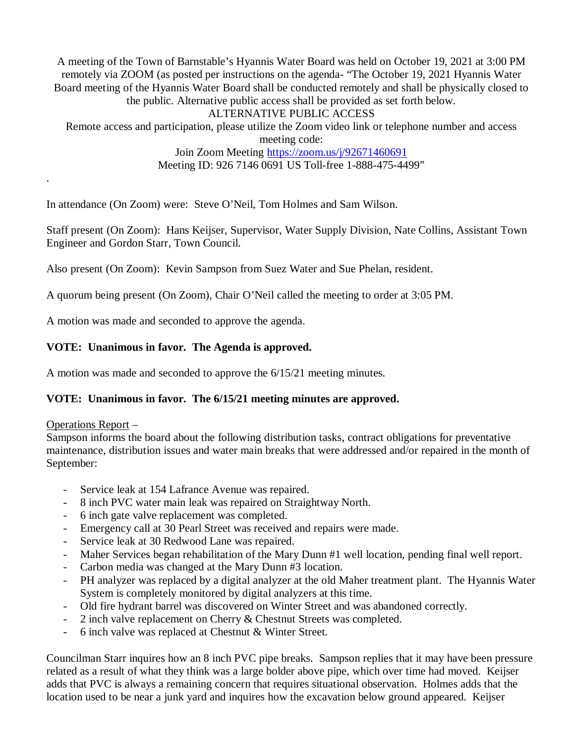A meeting of the Town of Barnstable's Hyannis Water Board was held on October 19, 2021 at 3:00 PM remotely via ZOOM (as posted per instructions on the agenda- "The October 19, 2021 Hyannis Water Board meeting of the Hyannis Water Board shall be conducted remotely and shall be physically closed to the public. Alternative public access shall be provided as set forth below. ALTERNATIVE PUBLIC ACCESS Remote access and participation, please utilize the Zoom video link or telephone number and access

> meeting code: Join Zoom Meeting https://zoom.us/j/92671460691 Meeting ID: 926 7146 0691 US Toll-free 1-888-475-4499"

In attendance (On Zoom) were: Steve O'Neil, Tom Holmes and Sam Wilson.

Staff present (On Zoom): Hans Keijser, Supervisor, Water Supply Division, Nate Collins, Assistant Town Engineer and Gordon Starr, Town Council.

Also present (On Zoom): Kevin Sampson from Suez Water and Sue Phelan, resident.

A quorum being present (On Zoom), Chair O'Neil called the meeting to order at 3:05 PM.

A motion was made and seconded to approve the agenda.

#### **VOTE: Unanimous in favor. The Agenda is approved.**

A motion was made and seconded to approve the 6/15/21 meeting minutes.

#### **VOTE: Unanimous in favor. The 6/15/21 meeting minutes are approved.**

#### Operations Report –

.

Sampson informs the board about the following distribution tasks, contract obligations for preventative maintenance, distribution issues and water main breaks that were addressed and/or repaired in the month of September:

- Service leak at 154 Lafrance Avenue was repaired.
- 8 inch PVC water main leak was repaired on Straightway North.
- 6 inch gate valve replacement was completed.
- Emergency call at 30 Pearl Street was received and repairs were made.
- Service leak at 30 Redwood Lane was repaired.
- Maher Services began rehabilitation of the Mary Dunn #1 well location, pending final well report.
- Carbon media was changed at the Mary Dunn #3 location.
- PH analyzer was replaced by a digital analyzer at the old Maher treatment plant. The Hyannis Water System is completely monitored by digital analyzers at this time.
- Old fire hydrant barrel was discovered on Winter Street and was abandoned correctly.
- 2 inch valve replacement on Cherry & Chestnut Streets was completed.
- 6 inch valve was replaced at Chestnut & Winter Street.

Councilman Starr inquires how an 8 inch PVC pipe breaks. Sampson replies that it may have been pressure related as a result of what they think was a large bolder above pipe, which over time had moved. Keijser adds that PVC is always a remaining concern that requires situational observation. Holmes adds that the location used to be near a junk yard and inquires how the excavation below ground appeared. Keijser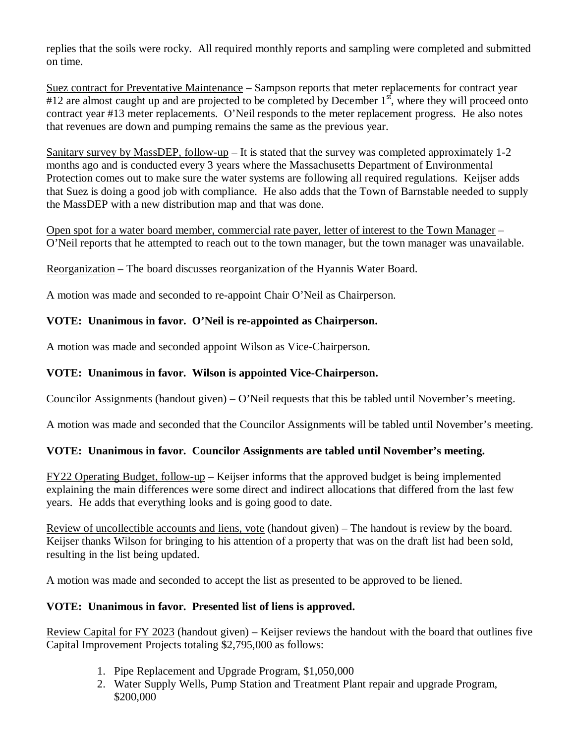replies that the soils were rocky. All required monthly reports and sampling were completed and submitted on time.

Suez contract for Preventative Maintenance – Sampson reports that meter replacements for contract year  $#12$  are almost caught up and are projected to be completed by December  $1<sup>st</sup>$ , where they will proceed onto contract year #13 meter replacements. O'Neil responds to the meter replacement progress. He also notes that revenues are down and pumping remains the same as the previous year.

Sanitary survey by MassDEP, follow-up  $-$  It is stated that the survey was completed approximately 1-2 months ago and is conducted every 3 years where the Massachusetts Department of Environmental Protection comes out to make sure the water systems are following all required regulations. Keijser adds that Suez is doing a good job with compliance. He also adds that the Town of Barnstable needed to supply the MassDEP with a new distribution map and that was done.

Open spot for a water board member, commercial rate payer, letter of interest to the Town Manager – O'Neil reports that he attempted to reach out to the town manager, but the town manager was unavailable.

Reorganization – The board discusses reorganization of the Hyannis Water Board.

A motion was made and seconded to re-appoint Chair O'Neil as Chairperson.

# **VOTE: Unanimous in favor. O'Neil is re-appointed as Chairperson.**

A motion was made and seconded appoint Wilson as Vice-Chairperson.

## **VOTE: Unanimous in favor. Wilson is appointed Vice-Chairperson.**

Councilor Assignments (handout given) – O'Neil requests that this be tabled until November's meeting.

A motion was made and seconded that the Councilor Assignments will be tabled until November's meeting.

### **VOTE: Unanimous in favor. Councilor Assignments are tabled until November's meeting.**

FY22 Operating Budget, follow-up – Keijser informs that the approved budget is being implemented explaining the main differences were some direct and indirect allocations that differed from the last few years. He adds that everything looks and is going good to date.

Review of uncollectible accounts and liens, vote (handout given) – The handout is review by the board. Keijser thanks Wilson for bringing to his attention of a property that was on the draft list had been sold, resulting in the list being updated.

A motion was made and seconded to accept the list as presented to be approved to be liened.

# **VOTE: Unanimous in favor. Presented list of liens is approved.**

Review Capital for FY 2023 (handout given) – Keijser reviews the handout with the board that outlines five Capital Improvement Projects totaling \$2,795,000 as follows:

- 1. Pipe Replacement and Upgrade Program, \$1,050,000
- 2. Water Supply Wells, Pump Station and Treatment Plant repair and upgrade Program, \$200,000